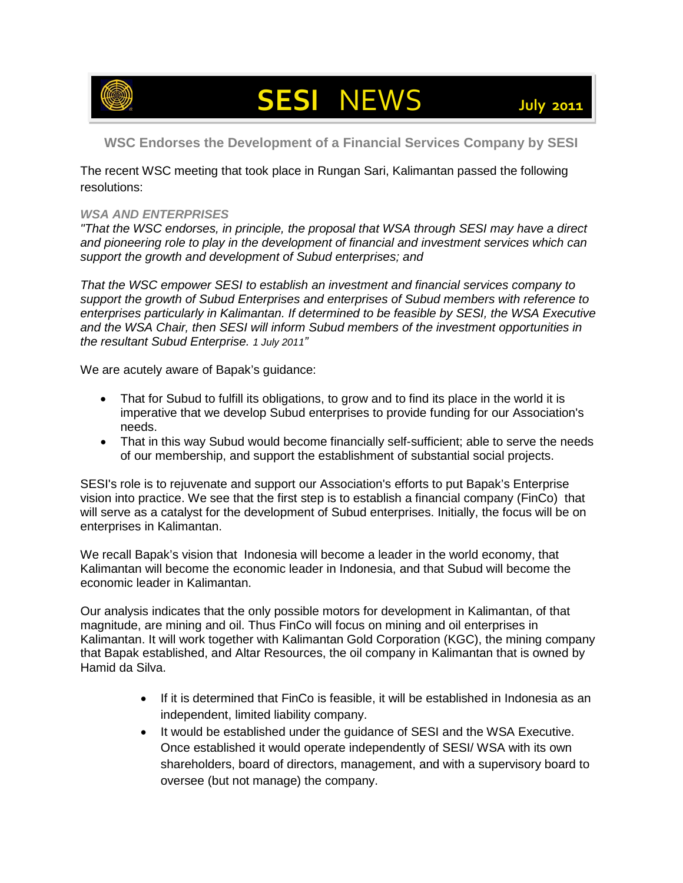

## **SESI** NEWS **July <sup>2011</sup>**

**WSC Endorses the Development of a Financial Services Company by SESI**

The recent WSC meeting that took place in Rungan Sari, Kalimantan passed the following resolutions:

## *WSA AND ENTERPRISES*

*"That the WSC endorses, in principle, the proposal that WSA through SESI may have a direct and pioneering role to play in the development of financial and investment services which can support the growth and development of Subud enterprises; and* 

*That the WSC empower SESI to establish an investment and financial services company to support the growth of Subud Enterprises and enterprises of Subud members with reference to enterprises particularly in Kalimantan. If determined to be feasible by SESI, the WSA Executive and the WSA Chair, then SESI will inform Subud members of the investment opportunities in the resultant Subud Enterprise. 1 July 2011"*

We are acutely aware of Bapak's guidance:

- That for Subud to fulfill its obligations, to grow and to find its place in the world it is imperative that we develop Subud enterprises to provide funding for our Association's needs.
- That in this way Subud would become financially self-sufficient; able to serve the needs of our membership, and support the establishment of substantial social projects.

SESI's role is to rejuvenate and support our Association's efforts to put Bapak's Enterprise vision into practice. We see that the first step is to establish a financial company (FinCo) that will serve as a catalyst for the development of Subud enterprises. Initially, the focus will be on enterprises in Kalimantan.

We recall Bapak's vision that Indonesia will become a leader in the world economy, that Kalimantan will become the economic leader in Indonesia, and that Subud will become the economic leader in Kalimantan.

Our analysis indicates that the only possible motors for development in Kalimantan, of that magnitude, are mining and oil. Thus FinCo will focus on mining and oil enterprises in Kalimantan. It will work together with Kalimantan Gold Corporation (KGC), the mining company that Bapak established, and Altar Resources, the oil company in Kalimantan that is owned by Hamid da Silva.

- If it is determined that FinCo is feasible, it will be established in Indonesia as an independent, limited liability company.
- It would be established under the guidance of SESI and the WSA Executive. Once established it would operate independently of SESI/ WSA with its own shareholders, board of directors, management, and with a supervisory board to oversee (but not manage) the company.